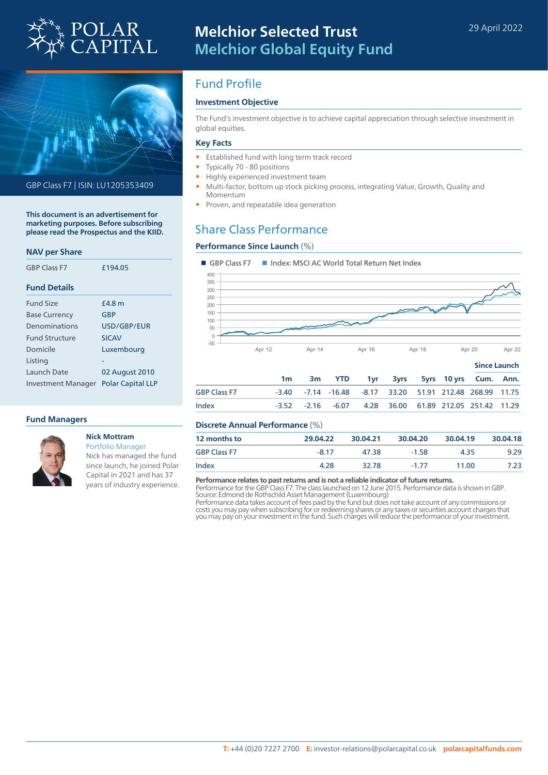



GBP Class F7 | ISIN: LU1205353409

**This document is an advertisement for marketing purposes. Before subscribing please read the Prospectus and the KIID.**

### **NAV per Share**

| <b>GBP Class F7</b>       | £194.05                  |
|---------------------------|--------------------------|
| <b>Fund Details</b>       |                          |
| <b>Fund Size</b>          | <b>f4.8 m</b>            |
| <b>Base Currency</b>      | GBP                      |
| Denominations             | USD/GBP/FUR              |
| <b>Fund Structure</b>     | <b>SICAV</b>             |
| Domicile                  | Luxembourg               |
| Listing                   |                          |
| Launch Date               | 02 August 2010           |
| <b>Investment Manager</b> | <b>Polar Capital LLP</b> |

### **Fund Managers**



### **Nick Mottram** Portfolio Manager

Nick has managed the fund since launch, he joined Polar Capital in 2021 and has 37 years of industry experience.

# Fund Profile

## **Investment Objective**

The Fund's investment objective is to achieve capital appreciation through selective investment in global equities.

### **Key Facts**

- Established fund with long term track record
- Typically 70 80 positions
- Highly experienced investment team
- Multi-factor, bottom up stock picking process, integrating Value, Growth, Quality and Momentum
- Proven, and repeatable idea generation

# Share Class Performance

### **Performance Since Launch** (%)



|                     | 1m | 3m YTD 1yr 3yrs 5yrs 10yrs Cum. Ann.                     |  |  |  |
|---------------------|----|----------------------------------------------------------|--|--|--|
| <b>GBP Class F7</b> |    | -3.40 -7.14 -16.48 -8.17 33.20 51.91 212.48 268.99 11.75 |  |  |  |
| Index               |    | -3.52 -2.16 -6.07 4.28 36.00 61.89 212.05 251.42 11.29   |  |  |  |
|                     |    |                                                          |  |  |  |

### **Discrete Annual Performance** (%)

| 12 months to        | 29.04.22 | 30.04.21 | 30.04.20 | 30.04.19 | 30.04.18 |
|---------------------|----------|----------|----------|----------|----------|
| <b>GBP Class F7</b> | $-817$   | 47.38    | $-1.58$  | 435      | 9.29     |
| Index               | 4.28     | 32.78    | $-1, 77$ | 11.00    | 7.23     |

### **Performance relates to past returns and is not a reliable indicator of future returns.**

Performance for the GBP Class F7. The class launched on 12 June 2015. Performance data is shown in GBP. Source: Edmond de Rothschild Asset Management (Luxembourg)

Performance data takes account of fees paid by the fund but does not take account of any commissions or<br>costs you may pay when subscribing for or redeeming shares or any taxes or securities account charges that<br>you may pay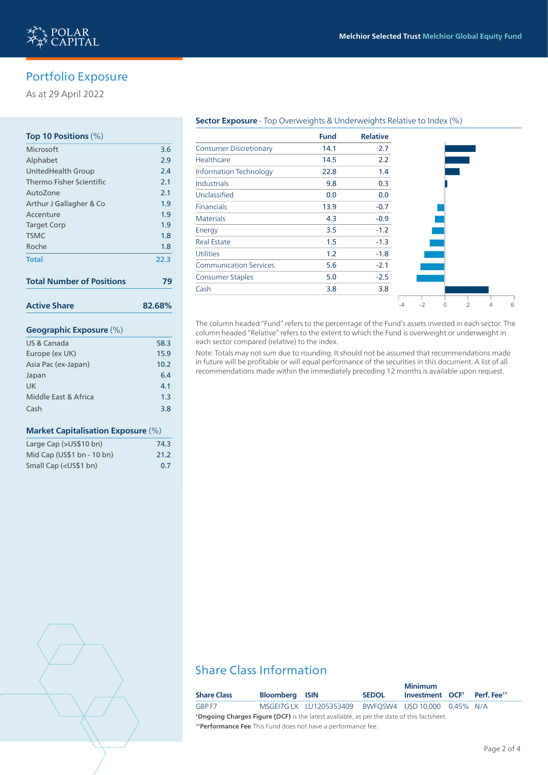

# Portfolio Exposure

As at 29 April 2022

### **Top 10 Positions** (%)

| 3.6    |
|--------|
| 2.9    |
| 2.4    |
| 2.1    |
| 2.1    |
| 1.9    |
| 1.9    |
| 1.9    |
| 1.8    |
| 1.8    |
| 22.3   |
|        |
| 79     |
| 82.68% |
|        |
| 58.3   |
| 15.9   |
| 10.2   |
| 6.4    |
| 4.1    |
| 1.3    |
|        |

### **Market Capitalisation Exposure** (%)

| Large Cap (>US\$10 bn)                                | 74.3 |
|-------------------------------------------------------|------|
| Mid Cap (US\$1 bn - 10 bn)                            | 21.2 |
| Small Cap ( <us\$1 bn)<="" td=""><td>0.7</td></us\$1> | 0.7  |

### **Sector Exposure** - Top Overweights & Underweights Relative to Index (%)

|                               | <b>Fund</b> | <b>Relative</b> |    |      |   |   |   |  |
|-------------------------------|-------------|-----------------|----|------|---|---|---|--|
| <b>Consumer Discretionary</b> | 14.1        | 2.7             |    |      |   |   |   |  |
| Healthcare                    | 14.5        | 2.2             |    |      |   |   |   |  |
| <b>Information Technology</b> | 22.8        | 1.4             |    |      |   |   |   |  |
| <b>Industrials</b>            | 9.8         | 0.3             |    |      |   |   |   |  |
| Unclassified                  | 0.0         | 0.0             |    |      |   |   |   |  |
| <b>Financials</b>             | 13.9        | $-0.7$          |    |      |   |   |   |  |
| <b>Materials</b>              | 4.3         | $-0.9$          |    |      |   |   |   |  |
| Energy                        | 3.5         | $-1.2$          |    |      |   |   |   |  |
| <b>Real Estate</b>            | 1.5         | $-1.3$          |    |      |   |   |   |  |
| <b>Utilities</b>              | 1.2         | $-1.8$          |    |      |   |   |   |  |
| <b>Communication Services</b> | 5.6         | $-2.1$          |    |      |   |   |   |  |
| <b>Consumer Staples</b>       | 5.0         | $-2.5$          |    |      |   |   |   |  |
| Cash                          | 3.8         | 3.8             |    |      |   |   |   |  |
|                               |             |                 | -4 | $-2$ | 0 | 2 | 4 |  |

The column headed "Fund" refers to the percentage of the Fund's assets invested in each sector. The column headed "Relative" refers to the extent to which the Fund is overweight or underweight in each sector compared (relative) to the index.

Note: Totals may not sum due to rounding. It should not be assumed that recommendations made in future will be profitable or will equal performance of the securities in this document. A list of all recommendations made within the immediately preceding 12 months is available upon request.

# Share Class Information

| <b>Share Class</b>                                                                              | <b>Bloomberg ISIN</b> |                            | <b>SEDOL</b> | <b>Minimum</b><br>Investment OCF <sup>+</sup> | Perf. Fee <sup>tt</sup> |
|-------------------------------------------------------------------------------------------------|-----------------------|----------------------------|--------------|-----------------------------------------------|-------------------------|
| GBP F7                                                                                          |                       | MSGEI7G LX    LU1205353409 |              | BWFQSW4 USD 10,000 0.45% N/A                  |                         |
| <b>*Ongoing Charges Figure (OCF)</b> is the latest available, as per the date of this factsheet |                       |                            |              |                                               |                         |
| <b>Therformance Fee</b> This Fund does not have a performance fee.                              |                       |                            |              |                                               |                         |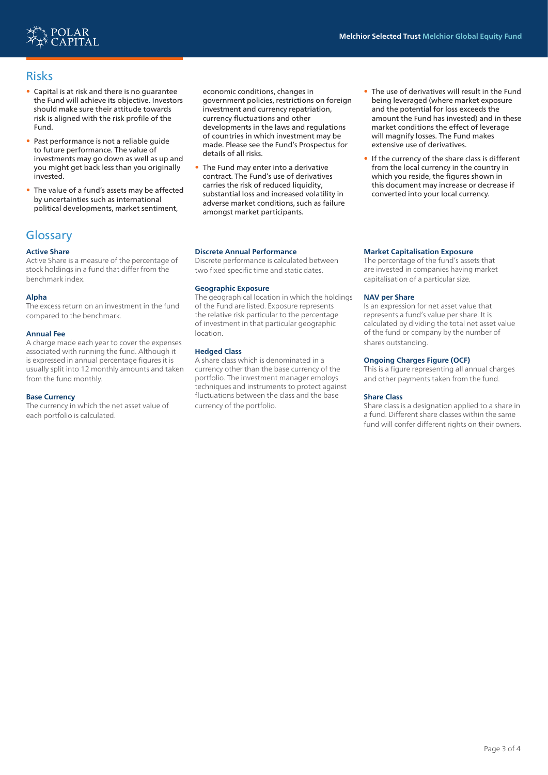

## Risks

- Capital is at risk and there is no guarantee the Fund will achieve its objective. Investors should make sure their attitude towards risk is aligned with the risk profile of the Fund.
- Past performance is not a reliable guide to future performance. The value of investments may go down as well as up and you might get back less than you originally invested.
- The value of a fund's assets may be affected by uncertainties such as international political developments, market sentiment,

## **Glossary**

### **Active Share**

Active Share is a measure of the percentage of stock holdings in a fund that differ from the benchmark index.

### **Alpha**

The excess return on an investment in the fund compared to the benchmark.

### **Annual Fee**

A charge made each year to cover the expenses associated with running the fund. Although it is expressed in annual percentage figures it is usually split into 12 monthly amounts and taken from the fund monthly.

#### **Base Currency**

The currency in which the net asset value of each portfolio is calculated.

economic conditions, changes in government policies, restrictions on foreign investment and currency repatriation, currency fluctuations and other developments in the laws and regulations of countries in which investment may be made. Please see the Fund's Prospectus for details of all risks.

• The Fund may enter into a derivative contract. The Fund's use of derivatives carries the risk of reduced liquidity, substantial loss and increased volatility in adverse market conditions, such as failure amongst market participants.

### **Discrete Annual Performance**

Discrete performance is calculated between two fixed specific time and static dates.

### **Geographic Exposure**

The geographical location in which the holdings of the Fund are listed. Exposure represents the relative risk particular to the percentage of investment in that particular geographic location.

### **Hedged Class**

A share class which is denominated in a currency other than the base currency of the portfolio. The investment manager employs techniques and instruments to protect against fluctuations between the class and the base currency of the portfolio.

- The use of derivatives will result in the Fund being leveraged (where market exposure and the potential for loss exceeds the amount the Fund has invested) and in these market conditions the effect of leverage will magnify losses. The Fund makes extensive use of derivatives.
- If the currency of the share class is different from the local currency in the country in which you reside, the figures shown in this document may increase or decrease if converted into your local currency.

### **Market Capitalisation Exposure**

The percentage of the fund's assets that are invested in companies having market capitalisation of a particular size.

#### **NAV per Share**

Is an expression for net asset value that represents a fund's value per share. It is calculated by dividing the total net asset value of the fund or company by the number of shares outstanding.

### **Ongoing Charges Figure (OCF)**

This is a figure representing all annual charges and other payments taken from the fund.

#### **Share Class**

Share class is a designation applied to a share in a fund. Different share classes within the same fund will confer different rights on their owners.